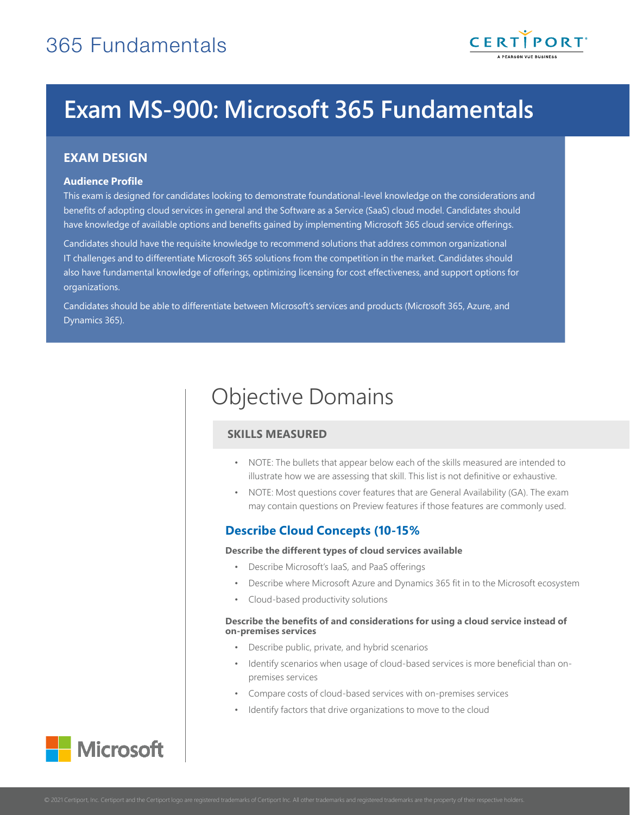

# **Exam MS-900: Microsoft 365 Fundamentals**

## **EXAM DESIGN**

## **Audience Profile**

This exam is designed for candidates looking to demonstrate foundational-level knowledge on the considerations and benefits of adopting cloud services in general and the Software as a Service (SaaS) cloud model. Candidates should have knowledge of available options and benefits gained by implementing Microsoft 365 cloud service offerings.

Candidates should have the requisite knowledge to recommend solutions that address common organizational IT challenges and to differentiate Microsoft 365 solutions from the competition in the market. Candidates should also have fundamental knowledge of offerings, optimizing licensing for cost effectiveness, and support options for organizations.

Candidates should be able to differentiate between Microsoft's services and products (Microsoft 365, Azure, and Dynamics 365).

## Objective Domains

## **SKILLS MEASURED**

- NOTE: The bullets that appear below each of the skills measured are intended to illustrate how we are assessing that skill. This list is not definitive or exhaustive.
- NOTE: Most questions cover features that are General Availability (GA). The exam may contain questions on Preview features if those features are commonly used.

## **Describe Cloud Concepts (10-15%)**

## **Describe the different types of cloud services available**

- Describe Microsoft's IaaS, and PaaS offerings
- Describe where Microsoft Azure and Dynamics 365 fit in to the Microsoft ecosystem
- Cloud-based productivity solutions

#### **Describe the benefits of and considerations for using a cloud service instead of on-premises services**

- Describe public, private, and hybrid scenarios
- Identify scenarios when usage of cloud-based services is more beneficial than onpremises services
- Compare costs of cloud-based services with on-premises services
- Identify factors that drive organizations to move to the cloud

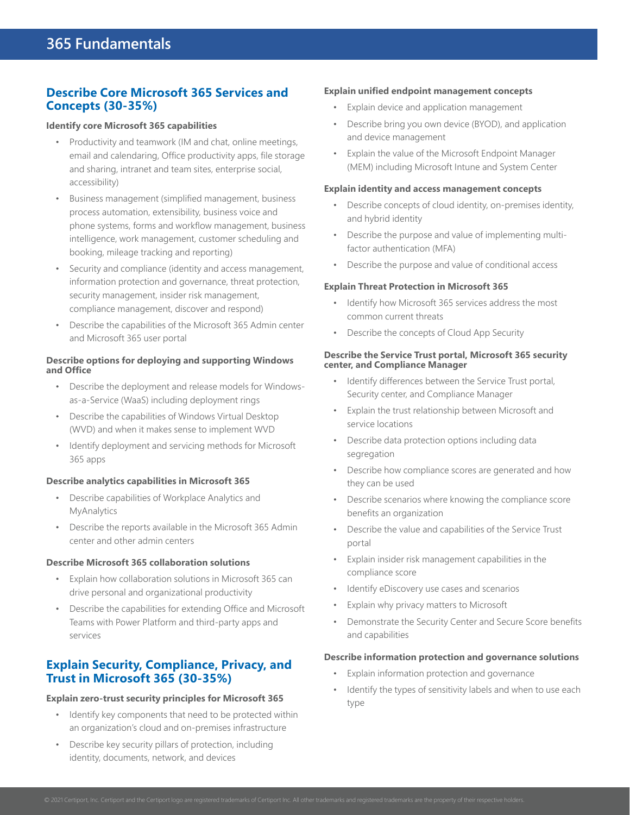## **Describe Core Microsoft 365 Services and Concepts (30-35%)**

#### **Identify core Microsoft 365 capabilities**

- Productivity and teamwork (IM and chat, online meetings, email and calendaring, Office productivity apps, file storage and sharing, intranet and team sites, enterprise social, accessibility)
- Business management (simplified management, business process automation, extensibility, business voice and phone systems, forms and workflow management, business intelligence, work management, customer scheduling and booking, mileage tracking and reporting)
- Security and compliance (identity and access management, information protection and governance, threat protection, security management, insider risk management, compliance management, discover and respond)
- Describe the capabilities of the Microsoft 365 Admin center and Microsoft 365 user portal

## **Describe options for deploying and supporting Windows and Office**

- Describe the deployment and release models for Windowsas-a-Service (WaaS) including deployment rings
- Describe the capabilities of Windows Virtual Desktop (WVD) and when it makes sense to implement WVD
- Identify deployment and servicing methods for Microsoft 365 apps

## **Describe analytics capabilities in Microsoft 365**

- Describe capabilities of Workplace Analytics and MyAnalytics
- Describe the reports available in the Microsoft 365 Admin center and other admin centers

#### **Describe Microsoft 365 collaboration solutions**

- Explain how collaboration solutions in Microsoft 365 can drive personal and organizational productivity
- Describe the capabilities for extending Office and Microsoft Teams with Power Platform and third-party apps and services

## **Explain Security, Compliance, Privacy, and Trust in Microsoft 365 (30-35%)**

## **Explain zero-trust security principles for Microsoft 365**

- Identify key components that need to be protected within an organization's cloud and on-premises infrastructure
- Describe key security pillars of protection, including identity, documents, network, and devices

## **Explain unified endpoint management concepts**

- Explain device and application management
- Describe bring you own device (BYOD), and application and device management
- Explain the value of the Microsoft Endpoint Manager (MEM) including Microsoft Intune and System Center

## **Explain identity and access management concepts**

- Describe concepts of cloud identity, on-premises identity, and hybrid identity
- Describe the purpose and value of implementing multifactor authentication (MFA)
- Describe the purpose and value of conditional access

## **Explain Threat Protection in Microsoft 365**

- Identify how Microsoft 365 services address the most common current threats
- Describe the concepts of Cloud App Security

#### **Describe the Service Trust portal, Microsoft 365 security center, and Compliance Manager**

- Identify differences between the Service Trust portal, Security center, and Compliance Manager
- Explain the trust relationship between Microsoft and service locations
- Describe data protection options including data segregation
- Describe how compliance scores are generated and how they can be used
- Describe scenarios where knowing the compliance score benefits an organization
- Describe the value and capabilities of the Service Trust portal
- Explain insider risk management capabilities in the compliance score
- Identify eDiscovery use cases and scenarios
- Explain why privacy matters to Microsoft
- Demonstrate the Security Center and Secure Score benefits and capabilities

#### **Describe information protection and governance solutions**

- Explain information protection and governance
- Identify the types of sensitivity labels and when to use each type